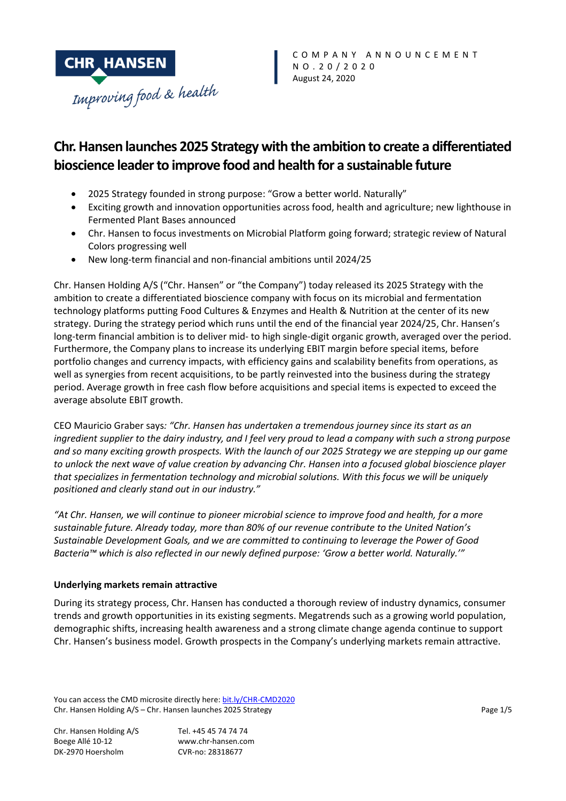

# **Chr. Hansen launches 2025 Strategy with the ambition to create a differentiated bioscience leader to improve food and health for a sustainable future**

- 2025 Strategy founded in strong purpose: "Grow a better world. Naturally"
- Exciting growth and innovation opportunities across food, health and agriculture; new lighthouse in Fermented Plant Bases announced
- Chr. Hansen to focus investments on Microbial Platform going forward; strategic review of Natural Colors progressing well
- New long-term financial and non-financial ambitions until 2024/25

Chr. Hansen Holding A/S ("Chr. Hansen" or "the Company") today released its 2025 Strategy with the ambition to create a differentiated bioscience company with focus on its microbial and fermentation technology platforms putting Food Cultures & Enzymes and Health & Nutrition at the center of its new strategy. During the strategy period which runs until the end of the financial year 2024/25, Chr. Hansen's long-term financial ambition is to deliver mid- to high single-digit organic growth, averaged over the period. Furthermore, the Company plans to increase its underlying EBIT margin before special items, before portfolio changes and currency impacts, with efficiency gains and scalability benefits from operations, as well as synergies from recent acquisitions, to be partly reinvested into the business during the strategy period. Average growth in free cash flow before acquisitions and special items is expected to exceed the average absolute EBIT growth.

CEO Mauricio Graber says*: "Chr. Hansen has undertaken a tremendous journey since its start as an ingredient supplier to the dairy industry, and I feel very proud to lead a company with such a strong purpose and so many exciting growth prospects. With the launch of our 2025 Strategy we are stepping up our game to unlock the next wave of value creation by advancing Chr. Hansen into a focused global bioscience player that specializes in fermentation technology and microbial solutions. With this focus we will be uniquely positioned and clearly stand out in our industry."*

*"At Chr. Hansen, we will continue to pioneer microbial science to improve food and health, for a more sustainable future. Already today, more than 80% of our revenue contribute to the United Nation's Sustainable Development Goals, and we are committed to continuing to leverage the Power of Good Bacteria™ which is also reflected in our newly defined purpose: 'Grow a better world. Naturally.'"*

#### **Underlying markets remain attractive**

During its strategy process, Chr. Hansen has conducted a thorough review of industry dynamics, consumer trends and growth opportunities in its existing segments. Megatrends such as a growing world population, demographic shifts, increasing health awareness and a strong climate change agenda continue to support Chr. Hansen's business model. Growth prospects in the Company's underlying markets remain attractive.

You can access the CMD microsite directly here: [bit.ly/CHR-CMD2020](file://///DKHOEPFS01/Public/Investor%20Relations/___2020/CMD/8%20CA/bit.ly/CHR-CMD2020) Chr. Hansen Holding A/S – Chr. Hansen launches 2025 Strategy Page 1/5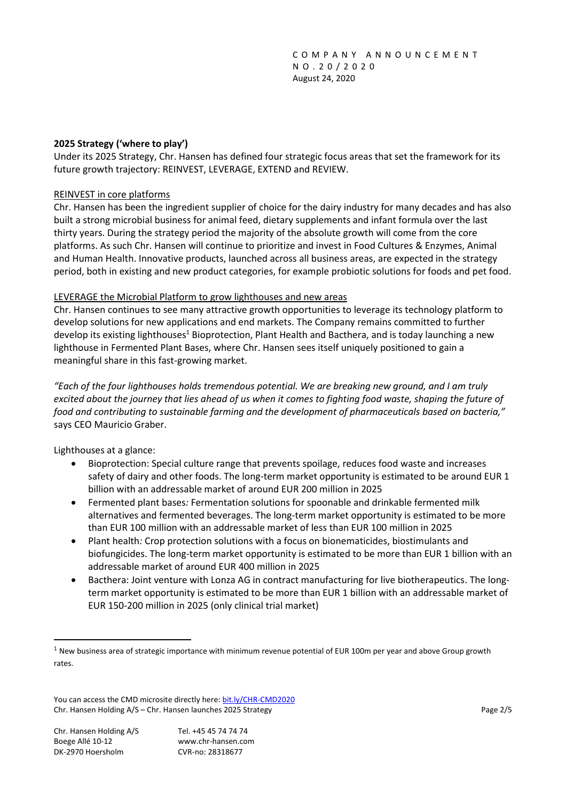## **2025 Strategy ('where to play')**

Under its 2025 Strategy, Chr. Hansen has defined four strategic focus areas that set the framework for its future growth trajectory: REINVEST, LEVERAGE, EXTEND and REVIEW.

#### REINVEST in core platforms

Chr. Hansen has been the ingredient supplier of choice for the dairy industry for many decades and has also built a strong microbial business for animal feed, dietary supplements and infant formula over the last thirty years. During the strategy period the majority of the absolute growth will come from the core platforms. As such Chr. Hansen will continue to prioritize and invest in Food Cultures & Enzymes, Animal and Human Health. Innovative products, launched across all business areas, are expected in the strategy period, both in existing and new product categories, for example probiotic solutions for foods and pet food.

### LEVERAGE the Microbial Platform to grow lighthouses and new areas

Chr. Hansen continues to see many attractive growth opportunities to leverage its technology platform to develop solutions for new applications and end markets. The Company remains committed to further develop its existing lighthouses<sup>1</sup> Bioprotection, Plant Health and Bacthera, and is today launching a new lighthouse in Fermented Plant Bases, where Chr. Hansen sees itself uniquely positioned to gain a meaningful share in this fast-growing market.

*"Each of the four lighthouses holds tremendous potential. We are breaking new ground, and I am truly excited about the journey that lies ahead of us when it comes to fighting food waste, shaping the future of food and contributing to sustainable farming and the development of pharmaceuticals based on bacteria,"*  says CEO Mauricio Graber.

Lighthouses at a glance:

- Bioprotection: Special culture range that prevents spoilage, reduces food waste and increases safety of dairy and other foods. The long-term market opportunity is estimated to be around EUR 1 billion with an addressable market of around EUR 200 million in 2025
- Fermented plant bases*:* Fermentation solutions for spoonable and drinkable fermented milk alternatives and fermented beverages. The long-term market opportunity is estimated to be more than EUR 100 million with an addressable market of less than EUR 100 million in 2025
- Plant health*:* Crop protection solutions with a focus on bionematicides, biostimulants and biofungicides. The long-term market opportunity is estimated to be more than EUR 1 billion with an addressable market of around EUR 400 million in 2025
- Bacthera: Joint venture with Lonza AG in contract manufacturing for live biotherapeutics. The longterm market opportunity is estimated to be more than EUR 1 billion with an addressable market of EUR 150-200 million in 2025 (only clinical trial market)

 $1$  New business area of strategic importance with minimum revenue potential of EUR 100m per year and above Group growth rates.

You can access the CMD microsite directly here: [bit.ly/CHR-CMD2020](file://///DKHOEPFS01/Public/Investor%20Relations/___2020/CMD/8%20CA/bit.ly/CHR-CMD2020) Chr. Hansen Holding A/S – Chr. Hansen launches 2025 Strategy Page 2/5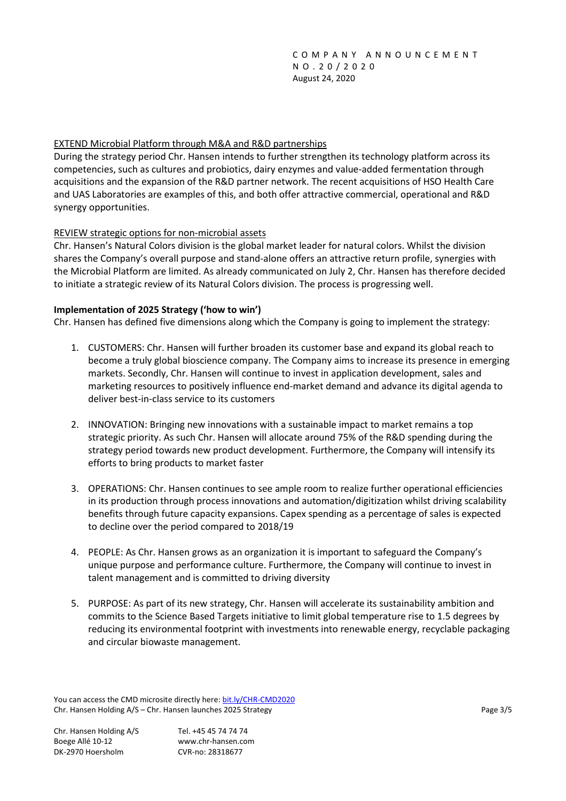## EXTEND Microbial Platform through M&A and R&D partnerships

During the strategy period Chr. Hansen intends to further strengthen its technology platform across its competencies, such as cultures and probiotics, dairy enzymes and value-added fermentation through acquisitions and the expansion of the R&D partner network. The recent acquisitions of HSO Health Care and UAS Laboratories are examples of this, and both offer attractive commercial, operational and R&D synergy opportunities.

### REVIEW strategic options for non-microbial assets

Chr. Hansen's Natural Colors division is the global market leader for natural colors. Whilst the division shares the Company's overall purpose and stand-alone offers an attractive return profile, synergies with the Microbial Platform are limited. As already communicated on July 2, Chr. Hansen has therefore decided to initiate a strategic review of its Natural Colors division. The process is progressing well.

### **Implementation of 2025 Strategy ('how to win')**

Chr. Hansen has defined five dimensions along which the Company is going to implement the strategy:

- 1. CUSTOMERS: Chr. Hansen will further broaden its customer base and expand its global reach to become a truly global bioscience company. The Company aims to increase its presence in emerging markets. Secondly, Chr. Hansen will continue to invest in application development, sales and marketing resources to positively influence end-market demand and advance its digital agenda to deliver best-in-class service to its customers
- 2. INNOVATION: Bringing new innovations with a sustainable impact to market remains a top strategic priority. As such Chr. Hansen will allocate around 75% of the R&D spending during the strategy period towards new product development. Furthermore, the Company will intensify its efforts to bring products to market faster
- 3. OPERATIONS: Chr. Hansen continues to see ample room to realize further operational efficiencies in its production through process innovations and automation/digitization whilst driving scalability benefits through future capacity expansions. Capex spending as a percentage of sales is expected to decline over the period compared to 2018/19
- 4. PEOPLE: As Chr. Hansen grows as an organization it is important to safeguard the Company's unique purpose and performance culture. Furthermore, the Company will continue to invest in talent management and is committed to driving diversity
- 5. PURPOSE: As part of its new strategy, Chr. Hansen will accelerate its sustainability ambition and commits to the Science Based Targets initiative to limit global temperature rise to 1.5 degrees by reducing its environmental footprint with investments into renewable energy, recyclable packaging and circular biowaste management.

You can access the CMD microsite directly here: [bit.ly/CHR-CMD2020](file://///DKHOEPFS01/Public/Investor%20Relations/___2020/CMD/8%20CA/bit.ly/CHR-CMD2020) Chr. Hansen Holding A/S – Chr. Hansen launches 2025 Strategy Page 3/5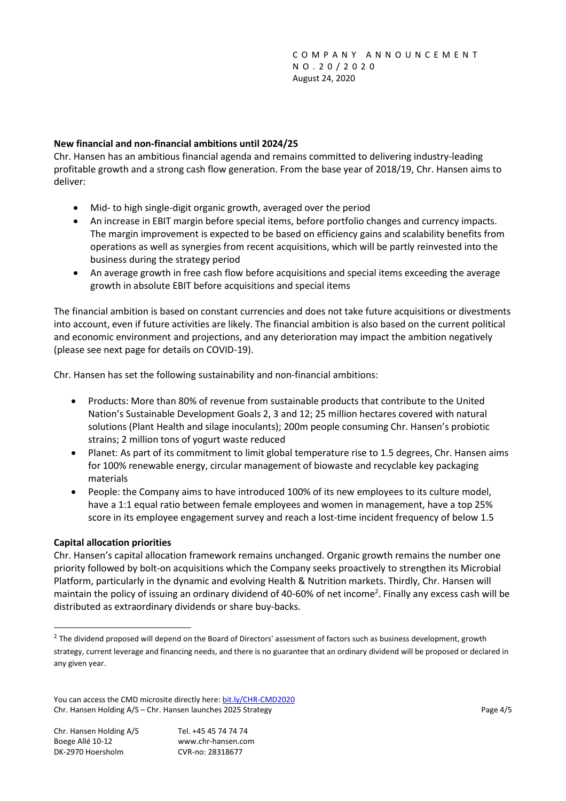## **New financial and non-financial ambitions until 2024/25**

Chr. Hansen has an ambitious financial agenda and remains committed to delivering industry-leading profitable growth and a strong cash flow generation. From the base year of 2018/19, Chr. Hansen aims to deliver:

- Mid- to high single-digit organic growth, averaged over the period
- An increase in EBIT margin before special items, before portfolio changes and currency impacts. The margin improvement is expected to be based on efficiency gains and scalability benefits from operations as well as synergies from recent acquisitions, which will be partly reinvested into the business during the strategy period
- An average growth in free cash flow before acquisitions and special items exceeding the average growth in absolute EBIT before acquisitions and special items

The financial ambition is based on constant currencies and does not take future acquisitions or divestments into account, even if future activities are likely. The financial ambition is also based on the current political and economic environment and projections, and any deterioration may impact the ambition negatively (please see next page for details on COVID-19).

Chr. Hansen has set the following sustainability and non-financial ambitions:

- Products: More than 80% of revenue from sustainable products that contribute to the United Nation's Sustainable Development Goals 2, 3 and 12; 25 million hectares covered with natural solutions (Plant Health and silage inoculants); 200m people consuming Chr. Hansen's probiotic strains; 2 million tons of yogurt waste reduced
- Planet: As part of its commitment to limit global temperature rise to 1.5 degrees, Chr. Hansen aims for 100% renewable energy, circular management of biowaste and recyclable key packaging materials
- People: the Company aims to have introduced 100% of its new employees to its culture model, have a 1:1 equal ratio between female employees and women in management, have a top 25% score in its employee engagement survey and reach a lost-time incident frequency of below 1.5

#### **Capital allocation priorities**

Chr. Hansen's capital allocation framework remains unchanged. Organic growth remains the number one priority followed by bolt-on acquisitions which the Company seeks proactively to strengthen its Microbial Platform, particularly in the dynamic and evolving Health & Nutrition markets. Thirdly, Chr. Hansen will maintain the policy of issuing an ordinary dividend of 40-60% of net income<sup>2</sup>. Finally any excess cash will be distributed as extraordinary dividends or share buy-backs.

 $^2$  The dividend proposed will depend on the Board of Directors' assessment of factors such as business development, growth strategy, current leverage and financing needs, and there is no guarantee that an ordinary dividend will be proposed or declared in any given year.

You can access the CMD microsite directly here: [bit.ly/CHR-CMD2020](file://///DKHOEPFS01/Public/Investor%20Relations/___2020/CMD/8%20CA/bit.ly/CHR-CMD2020) Chr. Hansen Holding A/S – Chr. Hansen launches 2025 Strategy Page 4/5